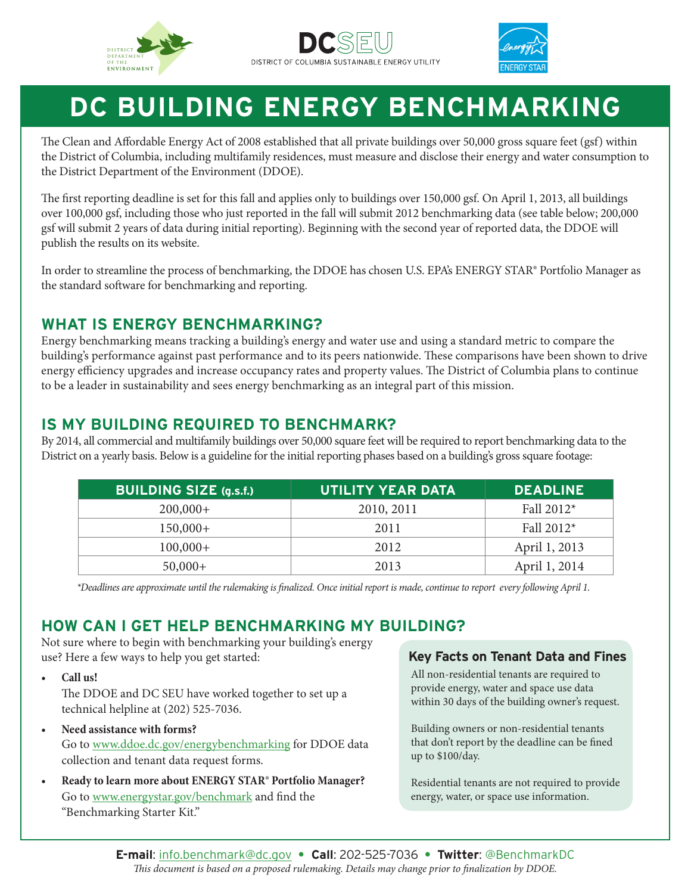





# **DC BUILDING ENERGY BENCHMARKING**

The Clean and Affordable Energy Act of 2008 established that all private buildings over 50,000 gross square feet (gsf) within the District of Columbia, including multifamily residences, must measure and disclose their energy and water consumption to the District Department of the Environment (DDOE).

The first reporting deadline is set for this fall and applies only to buildings over 150,000 gsf. On April 1, 2013, all buildings over 100,000 gsf, including those who just reported in the fall will submit 2012 benchmarking data (see table below; 200,000 gsf will submit 2 years of data during initial reporting). Beginning with the second year of reported data, the DDOE will publish the results on its website.

In order to streamline the process of benchmarking, the DDOE has chosen U.S. EPA's ENERGY STAR® Portfolio Manager as the standard software for benchmarking and reporting.

#### **WHAT IS ENERGY BENCHMARKING?**

Energy benchmarking means tracking a building's energy and water use and using a standard metric to compare the building's performance against past performance and to its peers nationwide. These comparisons have been shown to drive energy efficiency upgrades and increase occupancy rates and property values. The District of Columbia plans to continue to be a leader in sustainability and sees energy benchmarking as an integral part of this mission.

#### **IS MY BUILDING REQUIRED TO BENCHMARK?**

By 2014, all commercial and multifamily buildings over 50,000 square feet will be required to report benchmarking data to the District on a yearly basis. Below is a guideline for the initial reporting phases based on a building's gross square footage:

| <b>BUILDING SIZE (g.s.f.)</b> | <b>UTILITY YEAR DATA</b> | <b>DEADLINE</b> |
|-------------------------------|--------------------------|-----------------|
| $200,000+$                    | 2010, 2011               | Fall $2012*$    |
| $150,000+$                    | 2011                     | Fall $2012*$    |
| $100,000+$                    | 2012                     | April 1, 2013   |
| $50,000+$                     | 2013                     | April 1, 2014   |

*\*Deadlines are approximate until the rulemaking is finalized. Once initial report is made, continue to report every following April 1.*

#### **HOW CAN I GET HELP BENCHMARKING MY BUILDING?**

Not sure where to begin with benchmarking your building's energy use? Here a few ways to help you get started:

**• Call us!**

The DDOE and DC SEU have worked together to set up a technical helpline at (202) 525-7036.

- **• Need assistance with forms?** Go to www.ddoe.dc.gov/energybenchmarking for DDOE data collection and tenant data request forms.
- **• Ready to learn more about ENERGY STAR® Portfolio Manager?** Go to www.energystar.gov/benchmark and find the "Benchmarking Starter Kit."

#### **Key Facts on Tenant Data and Fines**

All non-residential tenants are required to provide energy, water and space use data within 30 days of the building owner's request.

Building owners or non-residential tenants that don't report by the deadline can be fined up to \$100/day.

Residential tenants are not required to provide energy, water, or space use information.